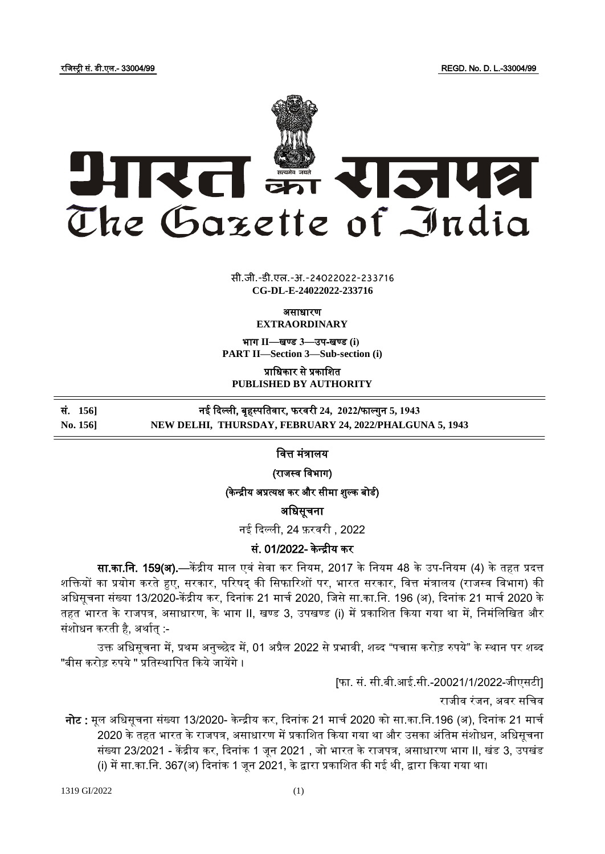रजजस्ट्री सं. डी.एल.- 33004/99 REGD. No. D. L.-33004/99



 $\overline{\phantom{a}}$   $\overline{\phantom{a}}$   $\overline{\phantom{a}}$ **xxx**GIDE**xxx** सी.जी.-डी.एल.-अ.-24022022-233716 **CG-DL-E-24022022-233716**

असाधारण

**EXTRAORDINARY**

भाग **II**—खण् ड **3**—उप-खण् ड **(i) PART II—Section 3—Sub-section (i)**

प्राजधकार से प्रकाजित **PUBLISHED BY AUTHORITY**

सं. **156]** नई ददल्ली, बृहस्ट् पजतिार, फरिरी **24, 2022**/फाल्गुन **5, 1943**

**No. 156] NEW DELHI, THURSDAY, FEBRUARY 24, 2022/PHALGUNA 5, 1943**

जित्त मंत्रालय

(राजस्व विभाग)

(केन्द्रीय अप्रत्यक्ष कर और सीमा शुल्क बोडी)

अजधसूचना

नई ददल्ली, 24 फ़रिरी , 2022

# सं. 01/2022- के न्द्रीय कर

सा.का.नि. 159(अ).—केंद्रीय माल एवं सेवा कर नियम, 2017 के नियम 48 के उप-नियम (4) के तहत प्रदत्त शक्तियों का प्रयोग करते हुए, सरकार, परिषद् की सिफारिशों पर, भारत सरकार, वित्त मंत्रालय (राजस्व विभाग) की अधिसचना संख्या 13/2020-केंद्रीय कर, दिनांक 21 मार्च 2020, जिसे सा.का.नि. 196 (अ), दिनांक 21 मार्च 2020 के तहत भारत के राजपत्र, असाधारण, के भाग II, खण्ड 3, उपखण्ड (i) में प्रकाजित दकया गया था में, जनमंजलजखत और संशोधन करती है, अर्थात :-

उक्त अधिसूचना में, प्रथम अनुच्छेद में, 01 अप्रैल 2022 से प्रभावी, शब्द "पचास करोड़ रुपये" के स्थान पर शब्द "बीस करोड़ रुपये " प्रतिस्थापित किये जायेंगे ।

[फा. सं. सी.बी.आई.सी.-20021/1/2022-जीएसटी]

राजीव रंजन. अवर सचिव

नोट : मूल अधिसूचना संख्या 13/2020- केन्द्रीय कर, दिनांक 21 मार्च 2020 को सा.का.नि.196 (अ), दिनांक 21 मार्च 2020 के तहत भारत के राजपत्र, असाधारण में प्रकाशित किया गया था और उसका अंतिम संशोधन, अधिसूचना संख्या 23/2021 - केंद्रीय कर, दिनांक 1 जून 2021 , जो भारत के राजपत्र, असाधारण भाग II, खंड 3, उपखंड (i) में सा.का.जन. 367(अ) ददनांक 1 जून 2021, के द्वारा प्रकाजित की गई थी, द्वारा दकया गया था।

1319 GI/2022 (1)